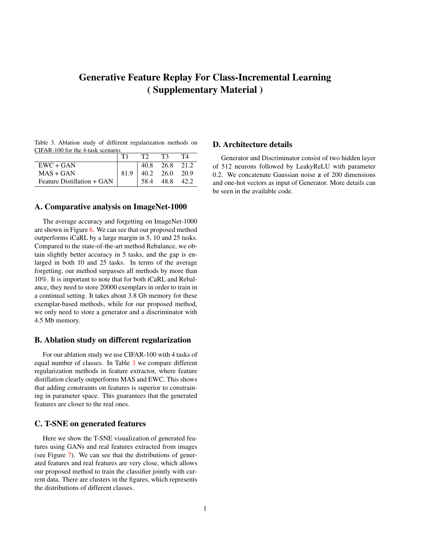# Generative Feature Replay For Class-Incremental Learning ( Supplementary Material )

<span id="page-0-0"></span>Table 3. Ablation study of different regularization methods on CIFAR-100 for the 4-task scenario.

| $EWC + GAN$                | 40.8 | 26.8             | 21.2 |
|----------------------------|------|------------------|------|
| $MAS + GAN$                |      | $40.2\quad 26.0$ | 20.9 |
| Feature Distillation + GAN | 58.4 | 48.8             |      |

# A. Comparative analysis on ImageNet-1000

The average accuracy and forgetting on ImageNet-1000 are shown in Figure [6.](#page-1-0) We can see that our proposed method outperforms iCaRL by a large margin in 5, 10 and 25 tasks. Compared to the state-of-the-art method Rebalance, we obtain slightly better accuracy in 5 tasks, and the gap is enlarged in both 10 and 25 tasks. In terms of the average forgetting, our method surpasses all methods by more than 10%. It is important to note that for both iCaRL and Rebalance, they need to store 20000 exemplars in order to train in a continual setting. It takes about 3.8 Gb memory for these exemplar-based methods, while for our proposed method, we only need to store a generator and a discriminator with 4.5 Mb memory.

#### B. Ablation study on different regularization

For our ablation study we use CIFAR-100 with 4 tasks of equal number of classes. In Table [3](#page-0-0) we compare different regularization methods in feature extractor, where feature distillation clearly outperforms MAS and EWC. This shows that adding constraints on features is superior to constraining in parameter space. This guarantees that the generated features are closer to the real ones.

### C. T-SNE on generated features

Here we show the T-SNE visualization of generated features using GANs and real features extracted from images (see Figure [7\)](#page-1-1). We can see that the distributions of generated features and real features are very close, which allows our proposed method to train the classifier jointly with current data. There are clusters in the figures, which represents the distributions of different classes.

## D. Architecture details

Generator and Discriminator consist of two hidden layer of 512 neurons followed by LeakyReLU with parameter 0.2. We concatenate Gaussian noise z of 200 dimensions and one-hot vectors as input of Generator. More details can be seen in the available code.